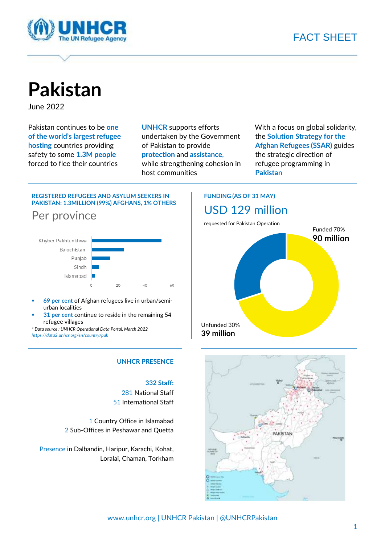

# FACT SHEET

**Pakistan**

June 2022

Pakistan continues to be **one of the world's largest refugee hosting** countries providing safety to some **1.3M people** forced to flee their countries

**UNHCR** supports efforts undertaken by the Government of Pakistan to provide **protection** and **assistance**, while strengthening cohesion in host communities

With a focus on global solidarity, the **Solution Strategy for the Afghan Refugees (SSAR)** guides the strategic direction of refugee programming in **Pakistan**

### **REGISTERED REFUGEES AND ASYLUM SEEKERS IN PAKISTAN: 1.3MILLION (99%) AFGHANS, 1% OTHERS**



- 69 per cent of Afghan refugees live in urban/semiurban localities
- 31 per cent continue to reside in the remaining 54 refugee villages

*\* Data source : UNHCR Operational Data Portal, March 2022 <https://data2.unhcr.org/en/country/pak>*

### **UNHCR PRESENCE**

### **332 Staff:**

281 National Staff 51 International Staff

1 Country Office in Islamabad 2 Sub-Offices in Peshawar and Quetta

Presence in Dalbandin, Haripur, Karachi, Kohat, Loralai, Chaman, Torkham

## **FUNDING (AS OF 31 MAY)** USD 129 million





www.unhcr.org | UNHCR Pakistan | @UNHCRPakistan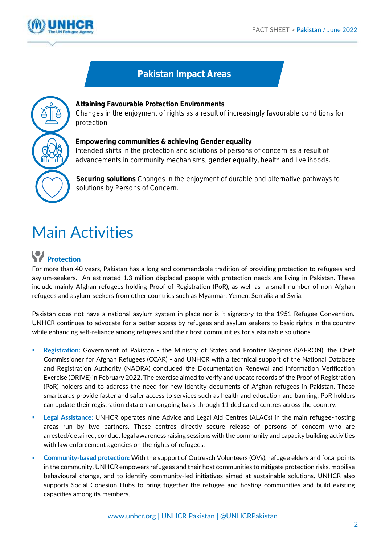

# Pakistan Impact Areas



**Attaining Favourable Protection Environments**  Changes in the enjoyment of rights as a result of increasingly favourable conditions for protection

**Empowering communities & achieving Gender equality** Intended shifts in the protection and solutions of persons of concern as a result of advancements in community mechanisms, gender equality, health and livelihoods.

**Securing solutions** Changes in the enjoyment of durable and alternative pathways to solutions by Persons of Concern.

# Main Activities

# **Protection**

For more than 40 years, Pakistan has a long and commendable tradition of providing protection to refugees and asylum-seekers. An estimated 1.3 million displaced people with protection needs are living in Pakistan. These include mainly Afghan refugees holding Proof of Registration (PoR), as well as a small number of non-Afghan refugees and asylum-seekers from other countries such as Myanmar, Yemen, Somalia and Syria.

Pakistan does not have a national asylum system in place nor is it signatory to the 1951 Refugee Convention. UNHCR continues to advocate for a better access by refugees and asylum seekers to basic rights in the country while enhancing self-reliance among refugees and their host communities for sustainable solutions.

- **EXECO EXECOM REGIST REGISTS IN EXECOMATE:** Regions (SAFRON), the Chief Commissioner for Afghan Refugees (CCAR) - and UNHCR with a technical support of the National Database and Registration Authority (NADRA) concluded the Documentation Renewal and lnformation Verification Exercise (DRIVE) in February 2022. The exercise aimed to verify and update records of the Proof of Registration (PoR) holders and to address the need for new identity documents of Afghan refugees in Pakistan. These smartcards provide faster and safer access to services such as health and education and banking. PoR holders can update their registration data on an ongoing basis through 11 dedicated centres across the country.
- **Legal Assistance: UNHCR operates nine Advice and Legal Aid Centres (ALACs) in the main refugee-hosting** areas run by two partners. These centres directly secure release of persons of concern who are arrested/detained, conduct legal awareness raising sessions with the community and capacity building activities with law enforcement agencies on the rights of refugees.
- **Community-based protection:** With the support of Outreach Volunteers (OVs), refugee elders and focal points in the community, UNHCR empowers refugees and their host communities to mitigate protection risks, mobilise behavioural change, and to identify community-led initiatives aimed at sustainable solutions. UNHCR also supports Social Cohesion Hubs to bring together the refugee and hosting communities and build existing capacities among its members.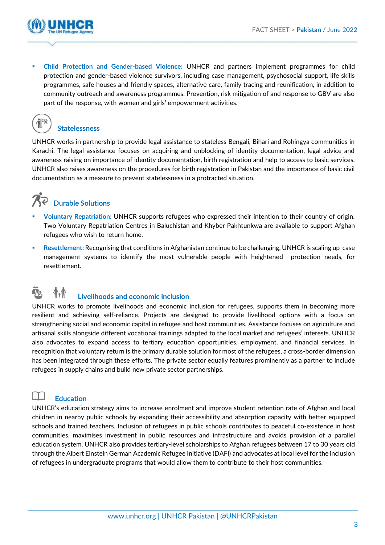

▪ **Child Protection and Gender-based Violence:** UNHCR and partners implement programmes for child protection and gender-based violence survivors, including case management, psychosocial support, life skills programmes, safe houses and friendly spaces, alternative care, family tracing and reunification, in addition to community outreach and awareness programmes. Prevention, risk mitigation of and response to GBV are also part of the response, with women and girls' empowerment activities.



## **Statelessness**

UNHCR works in partnership to provide legal assistance to stateless Bengali, Bihari and Rohingya communities in Karachi. The legal assistance focuses on acquiring and unblocking of identity documentation, legal advice and awareness raising on importance of identity documentation, birth registration and help to access to basic services. UNHCR also raises awareness on the procedures for birth registration in Pakistan and the importance of basic civil documentation as a measure to prevent statelessness in a protracted situation.

# **Durable Solutions**

- Voluntary Repatriation: UNHCR supports refugees who expressed their intention to their country of origin. Two Voluntary Repatriation Centres in Baluchistan and Khyber Pakhtunkwa are available to support Afghan refugees who wish to return home.
- **EXECTE THE SET IS A FIGHT THE SET OF SET 1.1 AFGILE AT A FIGHT ASSET IS A REPLAN IS CONTABLE ASSET UP CASE IS SCALING UP CASE** management systems to identify the most vulnerable people with heightened protection needs, for resettlement.

# **Livelihoods and economic inclusion**

UNHCR works to promote livelihoods and economic inclusion for refugees, supports them in becoming more resilient and achieving self-reliance. Projects are designed to provide livelihood options with a focus on strengthening social and economic capital in refugee and host communities. Assistance focuses on agriculture and artisanal skills alongside different vocational trainings adapted to the local market and refugees' interests. UNHCR also advocates to expand access to tertiary education opportunities, employment, and financial services. In recognition that voluntary return is the primary durable solution for most of the refugees, a cross-border dimension has been integrated through these efforts. The private sector equally features prominently as a partner to include refugees in supply chains and build new private sector partnerships.

## **Education**

UNHCR's education strategy aims to increase enrolment and improve student retention rate of Afghan and local children in nearby public schools by expanding their accessibility and absorption capacity with better equipped schools and trained teachers. Inclusion of refugees in public schools contributes to peaceful co-existence in host communities, maximises investment in public resources and infrastructure and avoids provision of a parallel education system. UNHCR also provides tertiary-level scholarships to Afghan refugees between 17 to 30 years old through the Albert Einstein German Academic Refugee Initiative (DAFI) and advocates at local level for the inclusion of refugees in undergraduate programs that would allow them to contribute to their host communities.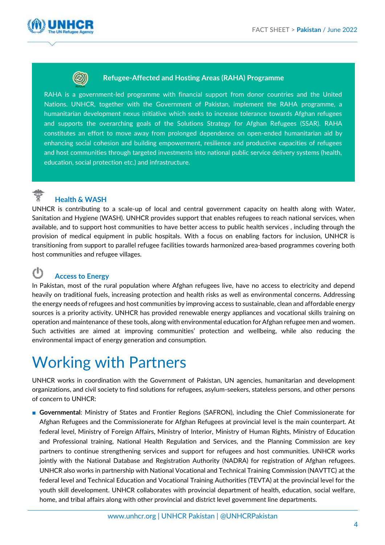



## **Refugee-Affected and Hosting Areas (RAHA) Programme**

RAHA is a government-led programme with financial support from donor countries and the United Nations. UNHCR, together with the Government of Pakistan, implement the RAHA programme, a humanitarian development nexus initiative which seeks to increase tolerance towards Afghan refugees and supports the overarching goals of the Solutions Strategy for Afghan Refugees (SSAR). RAHA constitutes an effort to move away from prolonged dependence on open-ended humanitarian aid by enhancing social cohesion and building empowerment, resilience and productive capacities of refugees and host communities through targeted investments into national public service delivery systems (health, education, social protection etc.) and infrastructure.

# **Health & WASH**

UNHCR is contributing to a scale-up of local and central government capacity on health along with Water, Sanitation and Hygiene (WASH). UNHCR provides support that enables refugees to reach national services, when available, and to support host communities to have better access to public health services , including through the provision of medical equipment in public hospitals. With a focus on enabling factors for inclusion, UNHCR is transitioning from support to parallel refugee facilities towards harmonized area-based programmes covering both host communities and refugee villages.

### ረካ **Access to Energy**

In Pakistan, most of the rural population where Afghan refugees live, have no access to electricity and depend heavily on traditional fuels, increasing protection and health risks as well as environmental concerns. Addressing the energy needs of refugees and host communities by improving access to sustainable, clean and affordable energy sources is a priority activity. UNHCR has provided renewable energy appliances and vocational skills training on operation and maintenance of these tools, along with environmental education for Afghan refugee men and women. Such activities are aimed at improving communities' protection and wellbeing, while also reducing the environmental impact of energy generation and consumption.

# Working with Partners

UNHCR works in coordination with the Government of Pakistan, UN agencies, humanitarian and development organizations, and civil society to find solutions for refugees, asylum-seekers, stateless persons, and other persons of concern to UNHCR:

■ **Governmental**: Ministry of States and Frontier Regions (SAFRON), including the Chief Commissionerate for Afghan Refugees and the Commissionerate for Afghan Refugees at provincial level is the main counterpart. At federal level, Ministry of Foreign Affairs, Ministry of Interior, Ministry of Human Rights, Ministry of Education and Professional training, National Health Regulation and Services, and the Planning Commission are key partners to continue strengthening services and support for refugees and host communities. UNHCR works jointly with the National Database and Registration Authority (NADRA) for registration of Afghan refugees. UNHCR also works in partnership with National Vocational and Technical Training Commission (NAVTTC) at the federal level and Technical Education and Vocational Training Authorities (TEVTA) at the provincial level for the youth skill development. UNHCR collaborates with provincial department of health, education, social welfare, home, and tribal affairs along with other provincial and district level government line departments.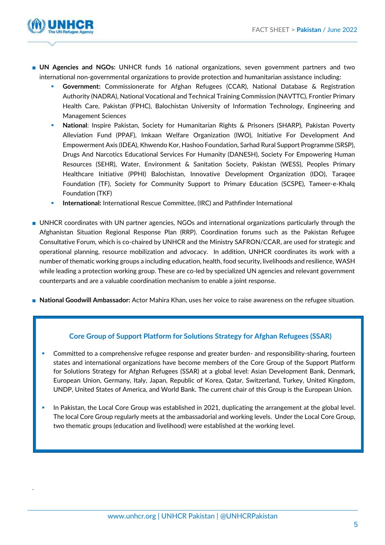

.

- **UN Agencies and NGOs:** UNHCR funds 16 national organizations, seven government partners and two international non-governmental organizations to provide protection and humanitarian assistance including:
	- **Government:** Commissionerate for Afghan Refugees (CCAR), National Database & Registration Authority (NADRA), National Vocational and Technical Training Commission (NAVTTC), Frontier Primary Health Care, Pakistan (FPHC), Balochistan University of Information Technology, Engineering and Management Sciences
	- National: Inspire Pakistan, Society for Humanitarian Rights & Prisoners (SHARP), Pakistan Poverty Alleviation Fund (PPAF), Imkaan Welfare Organization (IWO), Initiative For Development And Empowerment Axis (IDEA), Khwendo Kor, Hashoo Foundation, Sarhad Rural Support Programme (SRSP), Drugs And Narcotics Educational Services For Humanity (DANESH), Society For Empowering Human Resources (SEHR), Water, Environment & Sanitation Society, Pakistan (WESS), Peoples Primary Healthcare Initiative (PPHI) Balochistan, Innovative Development Organization (IDO), Taraqee Foundation (TF), Society for Community Support to Primary Education (SCSPE), Tameer-e-Khalq Foundation (TKF)
	- **International:** International Rescue Committee, (IRC) and Pathfinder International
- UNHCR coordinates with UN partner agencies, NGOs and international organizations particularly through the Afghanistan Situation Regional Response Plan (RRP). Coordination forums such as the Pakistan Refugee Consultative Forum, which is co-chaired by UNHCR and the Ministry SAFRON/CCAR, are used for strategic and operational planning, resource mobilization and advocacy. In addition, UNHCR coordinates its work with a number of thematic working groups a including education, health, food security, livelihoods and resilience, WASH while leading a protection working group. These are co-led by specialized UN agencies and relevant government counterparts and are a valuable coordination mechanism to enable a joint response.
- **National Goodwill Ambassador:** Actor Mahira Khan, uses her voice to raise awareness on the refugee situation.

## **Core Group of Support Platform for Solutions Strategy for Afghan Refugees (SSAR)**

- Committed to a comprehensive refugee response and greater burden- and responsibility-sharing, fourteen states and international organizations have become members of the Core Group of the Support Platform for Solutions Strategy for Afghan Refugees (SSAR) at a global level: Asian Development Bank, Denmark, European Union, Germany, Italy, Japan, Republic of Korea, Qatar, Switzerland, Turkey, United Kingdom, UNDP, United States of America, and World Bank. The current chair of this Group is the European Union.
- In Pakistan, the Local Core Group was established in 2021, duplicating the arrangement at the global level. The local Core Group regularly meets at the ambassadorial and working levels. Under the Local Core Group, two thematic groups (education and livelihood) were established at the working level.